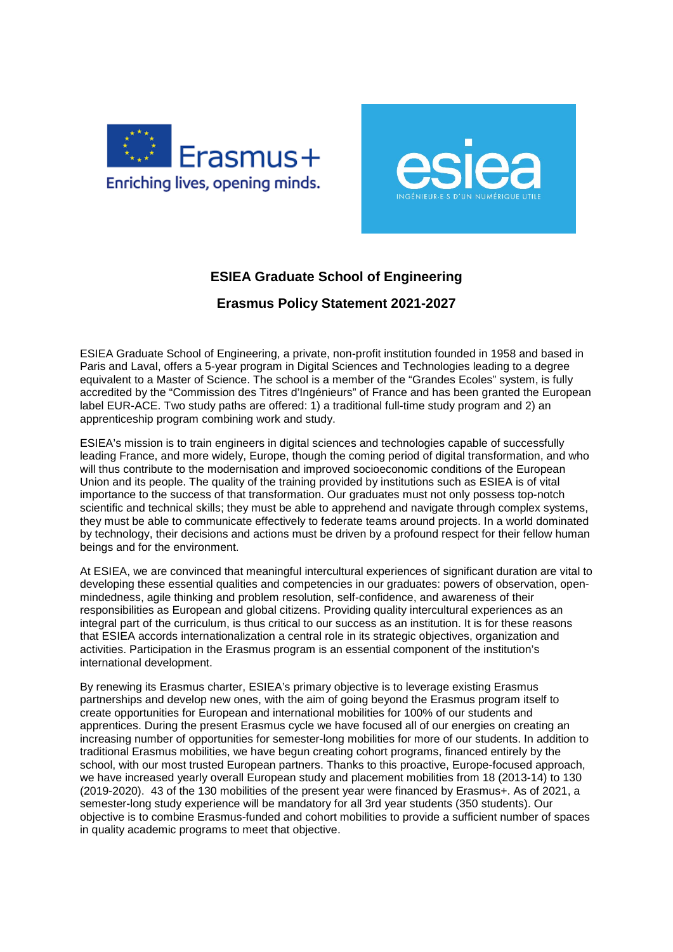



## **ESIEA Graduate School of Engineering**

## **Erasmus Policy Statement 2021-2027**

ESIEA Graduate School of Engineering, a private, non-profit institution founded in 1958 and based in Paris and Laval, offers a 5-year program in Digital Sciences and Technologies leading to a degree equivalent to a Master of Science. The school is a member of the "Grandes Ecoles" system, is fully accredited by the "Commission des Titres d'Ingénieurs" of France and has been granted the European label EUR-ACE. Two study paths are offered: 1) a traditional full-time study program and 2) an apprenticeship program combining work and study.

ESIEA's mission is to train engineers in digital sciences and technologies capable of successfully leading France, and more widely, Europe, though the coming period of digital transformation, and who will thus contribute to the modernisation and improved socioeconomic conditions of the European Union and its people. The quality of the training provided by institutions such as ESIEA is of vital importance to the success of that transformation. Our graduates must not only possess top-notch scientific and technical skills; they must be able to apprehend and navigate through complex systems, they must be able to communicate effectively to federate teams around projects. In a world dominated by technology, their decisions and actions must be driven by a profound respect for their fellow human beings and for the environment.

At ESIEA, we are convinced that meaningful intercultural experiences of significant duration are vital to developing these essential qualities and competencies in our graduates: powers of observation, openmindedness, agile thinking and problem resolution, self-confidence, and awareness of their responsibilities as European and global citizens. Providing quality intercultural experiences as an integral part of the curriculum, is thus critical to our success as an institution. It is for these reasons that ESIEA accords internationalization a central role in its strategic objectives, organization and activities. Participation in the Erasmus program is an essential component of the institution's international development.

By renewing its Erasmus charter, ESIEA's primary objective is to leverage existing Erasmus partnerships and develop new ones, with the aim of going beyond the Erasmus program itself to create opportunities for European and international mobilities for 100% of our students and apprentices. During the present Erasmus cycle we have focused all of our energies on creating an increasing number of opportunities for semester-long mobilities for more of our students. In addition to traditional Erasmus mobilities, we have begun creating cohort programs, financed entirely by the school, with our most trusted European partners. Thanks to this proactive, Europe-focused approach, we have increased yearly overall European study and placement mobilities from 18 (2013-14) to 130 (2019-2020). 43 of the 130 mobilities of the present year were financed by Erasmus+. As of 2021, a semester-long study experience will be mandatory for all 3rd year students (350 students). Our objective is to combine Erasmus-funded and cohort mobilities to provide a sufficient number of spaces in quality academic programs to meet that objective.